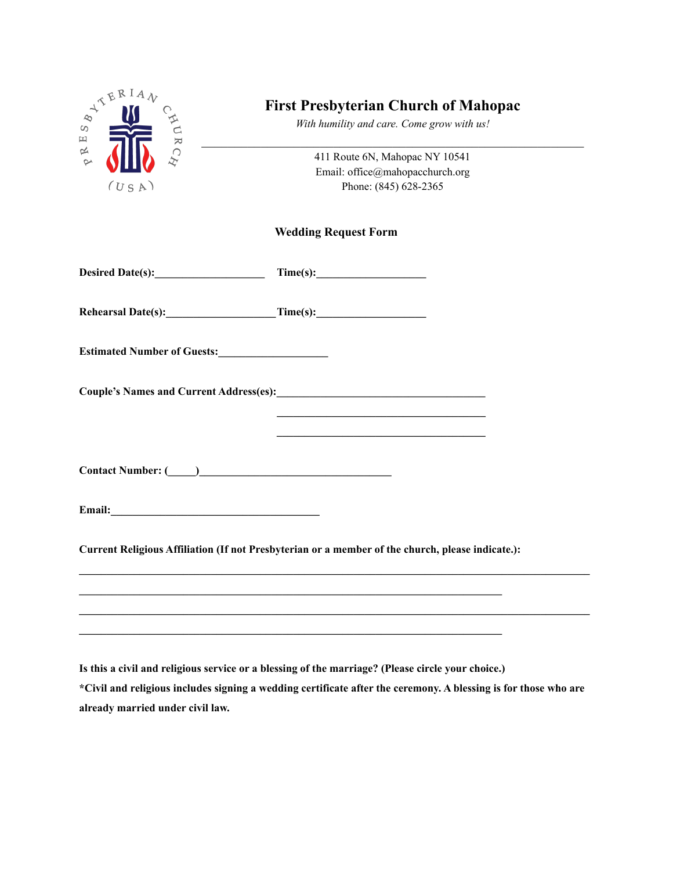

## **First Presbyterian Church of Mahopac**

*With humility and care. Come grow with us!*  $\mathcal{L}_\text{max}$  and the contract of the contract of the contract of the contract of the contract of the contract of

> 411 Route 6N, Mahopac NY 10541 Email: office@mahopacchurch.org Phone: (845) 628-2365

## **Wedding Request Form**

| Desired Date(s):                   |          |  |
|------------------------------------|----------|--|
| Rehearsal Date(s):                 | Time(s): |  |
| <b>Estimated Number of Guests:</b> |          |  |

**Contact Number: (\_\_\_\_\_)\_\_\_\_\_\_\_\_\_\_\_\_\_\_\_\_\_\_\_\_\_\_\_\_\_\_\_\_\_\_\_\_\_\_\_**

**Email:\_\_\_\_\_\_\_\_\_\_\_\_\_\_\_\_\_\_\_\_\_\_\_\_\_\_\_\_\_\_\_\_\_\_\_\_\_\_**

**Current Religious Affiliation (If not Presbyterian or a member of the church, please indicate.):**

**Is this a civil and religious service or a blessing of the marriage? (Please circle your choice.)**

\*Civil and religious includes signing a wedding certificate after the ceremony. A blessing is for those who are **already married under civil law.**